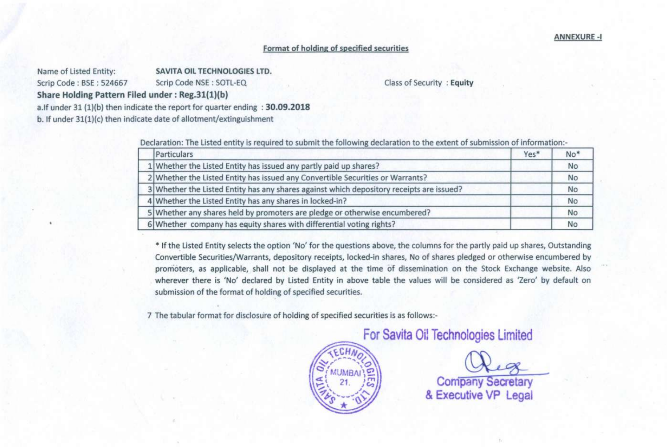## Format of holding of specified securities

Name of Listed Entity: SAVITA OIL TECHNOLOGIES LTD.

Scrip Code: BSE: 524667 Scrip Code NSE: SOTL-EQ

Class of Security : Equity

Share Holding Pattern Filed under: Reg.31(1)(b)

a.Jf under 31 (1)(b) then indicate the report for quarter ending : 30.09.2018

b. If under 31(1)(c) then indicate date of allotment/extinguishment

Declaration: The Listed entity is required to submit the following declaration to the extent of submission of information:-

| Particulars                                                                              | Yes* | $No*$     |
|------------------------------------------------------------------------------------------|------|-----------|
| 1 Whether the Listed Entity has issued any partly paid up shares?                        |      | <b>No</b> |
| 2 Whether the Listed Entity has issued any Convertible Securities or Warrants?           |      | <b>No</b> |
| 3 Whether the Listed Entity has any shares against which depository receipts are issued? |      | <b>No</b> |
| 4 Whether the Listed Entity has any shares in locked-in?                                 |      | <b>No</b> |
| 5 Whether any shares held by promoters are pledge or otherwise encumbered?               |      | <b>No</b> |
| 6 Whether company has equity shares with differential voting rights?                     |      | No        |

\* If the Listed Entity selects the option 'No' for the questions above, the columns for the partly paid up shares, Outstanding Convertible Securities/Warrants, depository receipts, locked-in shares, No of shares pledged or otherwise encumbered by promoters, as applicable, shall not be displayed at the time of dissemination on the Stock Exchange website. Also wherever there is 'No' declared by Listed Entity in above table the values will be considered as 'Zero' by default on submission of the format of holding of specified securities.

7 The tabular format for disclosure of holding of specified securities is as follows:-

For Savita Oil Technologies Limited

**Company Secretary** & Executive VP Legal

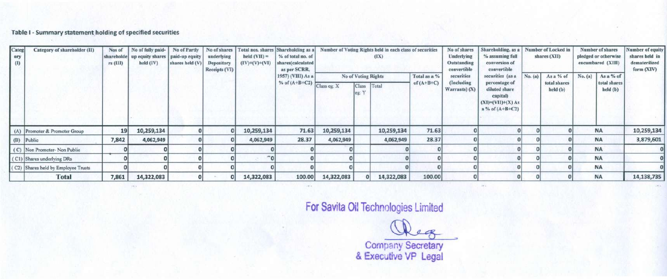Table I - Summary statement holding of specified securities

| Categ<br>ory<br>(1) | Category of shareholder (II)        | Nos of<br>$rs$ (III) | No of fully paid-<br>shareholde up equity shares paid-up equity<br>held (IV) | No of Partly<br>shares held (V) | underlying<br>Depository<br>Receipts (VI) | No of shares   Total nos. shares<br>$held (VII) =$<br>$(IV)+(V)+(VI)$ | Shareholding as a<br>% of total no. of<br>shares(calculated<br>as per SCRR, |            |                                                          | Number of Voting Rights held in each class of securities<br>(IX) |                              | No of shares<br>Underlying<br>Outstanding<br>convertible | Shareholding, as a<br>% assuming full<br>conversion of<br>convertible |         | Number of Locked in<br>shares (XII)   | Number of shares<br>pledged or otherwise<br>encumbared (XIII) | Number of equity<br>shares held in<br>dematerilized<br>form (XIV) |
|---------------------|-------------------------------------|----------------------|------------------------------------------------------------------------------|---------------------------------|-------------------------------------------|-----------------------------------------------------------------------|-----------------------------------------------------------------------------|------------|----------------------------------------------------------|------------------------------------------------------------------|------------------------------|----------------------------------------------------------|-----------------------------------------------------------------------|---------|---------------------------------------|---------------------------------------------------------------|-------------------------------------------------------------------|
|                     |                                     |                      |                                                                              |                                 |                                           |                                                                       | 1957) (VIII) As a<br>$\frac{1}{2}$ % of (A+B+C2) Class eg: X                |            | <b>No of Voting Rights</b><br>Class <sup></sup><br>eg: Y | Total                                                            | Total as a %<br>of $(A+B+C)$ | securities<br>(Including<br>Warrants $(X)$               | securities (as a<br>percentage of<br>diluted share<br>capital)        | No. (a) | As a % of<br>total shares<br>held (b) | As a % of<br>No. (a)<br>total shares<br>held (b)              |                                                                   |
|                     |                                     | 19                   | 10,259,134                                                                   |                                 |                                           | 10,259,134                                                            | 71.63                                                                       | 10,259,134 |                                                          | 10,259,134                                                       | 71.63                        |                                                          | $(XI)=(VII)+(X) As$<br>$a$ % of $(A+B+C2)$                            |         |                                       | <b>NA</b>                                                     | 10,259,134                                                        |
|                     | (A) Promoter & Promoter Group       |                      |                                                                              |                                 |                                           |                                                                       |                                                                             |            |                                                          |                                                                  |                              |                                                          |                                                                       |         |                                       |                                                               |                                                                   |
|                     | (B) Public                          | 7,842                | 4,062,949                                                                    |                                 |                                           | 4,062,949                                                             | 28.37                                                                       | 4,062,949  |                                                          | 4,062,949                                                        | 28.37                        |                                                          |                                                                       |         |                                       | <b>NA</b>                                                     | 3,879,601                                                         |
|                     | (C) Non Promoter-Non Public         |                      |                                                                              |                                 |                                           |                                                                       |                                                                             |            |                                                          |                                                                  |                              |                                                          |                                                                       |         |                                       | <b>NA</b>                                                     |                                                                   |
|                     | (C1) Shares underlying DRs          |                      |                                                                              |                                 |                                           |                                                                       |                                                                             |            |                                                          |                                                                  |                              |                                                          |                                                                       |         |                                       | <b>NA</b>                                                     |                                                                   |
|                     | (C2) Shares held by Employee Trusts |                      |                                                                              |                                 |                                           |                                                                       |                                                                             |            |                                                          |                                                                  |                              |                                                          |                                                                       |         |                                       | <b>NA</b>                                                     |                                                                   |
|                     | Total                               | 7,861                | 14,322,083                                                                   |                                 |                                           | 14,322,083                                                            | 100.00                                                                      | 14,322,083 |                                                          | 14,322,083                                                       | 100.00                       |                                                          |                                                                       |         |                                       | <b>NA</b>                                                     | 14,138,735                                                        |

For Savita Oil Technologies Limited

~ Company Secretary

& Executive VP Lega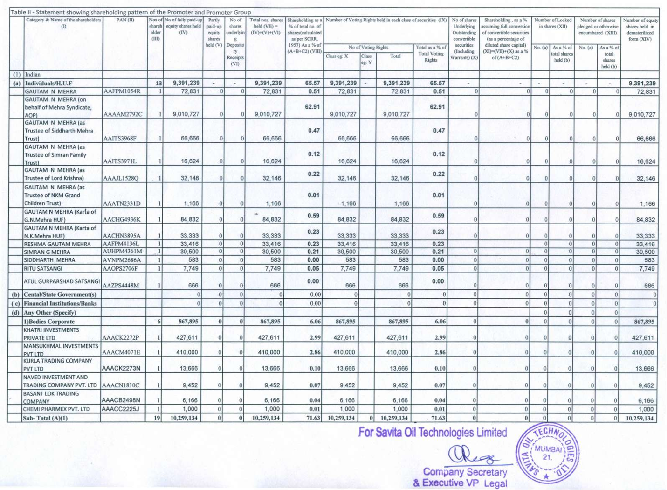|     | Table II - Statement showing shareholding pattern of the Promoter and Promoter Group |            |                     |                                                                 |                                       |                                              |                                                      |                                                                             |             |                     |                                                               |                               |                                                          |                                                                                                      |                 |                                     |                 |                                                               |                                                                   |
|-----|--------------------------------------------------------------------------------------|------------|---------------------|-----------------------------------------------------------------|---------------------------------------|----------------------------------------------|------------------------------------------------------|-----------------------------------------------------------------------------|-------------|---------------------|---------------------------------------------------------------|-------------------------------|----------------------------------------------------------|------------------------------------------------------------------------------------------------------|-----------------|-------------------------------------|-----------------|---------------------------------------------------------------|-------------------------------------------------------------------|
|     | Category & Name of the shareholders<br>(1)                                           | PAN (II)   | older<br><b>GID</b> | Nos of No of fully paid-up<br>shareh equity shares held<br>(IV) | Partly<br>paid-up<br>equity<br>shares | No of<br>shares<br>underlyin<br>$\mathbf{g}$ | Total nos. shares<br>$held$ (VII) =<br>$(V)+(V)+(V)$ | Shareholding as a<br>% of total no. of<br>shares(calculated<br>as per SCRR. |             |                     | Number of Voting Rights held in each class of securities (IX) |                               | No of shares<br>Underlying<br>Outstanding<br>convertible | Shareholding, as a %<br>assuming full conversion<br>of convertible securities<br>(as a percentage of |                 | Number of Locked<br>in shares (XII) |                 | Number of shares<br>pledged or otherwise<br>encumbared (XIII) | Number of equity<br>shares held in<br>dematerilized<br>form (XIV) |
|     |                                                                                      |            |                     |                                                                 | held (V)                              | Deposito                                     |                                                      | 1957) As a % of<br>$(A+B+C2)$ (VIII)                                        |             | No of Voting Rights |                                                               | Total as a % of               | securities                                               | diluted share capital)                                                                               | No. (a)         | As a % of                           | No. (a)         | As a % of                                                     |                                                                   |
|     |                                                                                      |            |                     |                                                                 |                                       | ry<br>Receipts<br>(VI)                       |                                                      |                                                                             | Class eg: X | Class<br>eg: Y      | Total                                                         | <b>Total Voting</b><br>Rights | (Including<br>Warrants) (X)                              | $(XI)=(VII)+(X)$ as a %<br>of $(A+B+C2)$                                                             |                 | total shares<br>held (b)            |                 | total<br>shares<br>held (b)                                   |                                                                   |
| (1) | Indian                                                                               |            |                     |                                                                 |                                       |                                              |                                                      |                                                                             |             |                     |                                                               |                               |                                                          |                                                                                                      |                 |                                     |                 |                                                               |                                                                   |
| (a) | Individuals/H.U.F                                                                    |            | 13                  | 9,391,239                                                       | $\sim$                                | $\sim$                                       | 9,391,239                                            | 65.57                                                                       | 9,391,239   |                     | 9,391,239                                                     | 65.57                         | $\overline{a}$                                           | $\overline{\phantom{a}}$                                                                             |                 | ×                                   | ×               | $\sim$                                                        | 9,391,239                                                         |
|     | <b>GAUTAM N MEHRA</b>                                                                | AAFPM1054R | $\mathbf{1}$        | 72,831                                                          | $\vert 0 \vert$                       | $\Omega$                                     | 72,831                                               | 0.51                                                                        | 72,831      |                     | 72,831                                                        | 0.51                          | $\theta$                                                 | $\Omega$                                                                                             | C               | $\Omega$                            | $\overline{0}$  | $\Omega$                                                      | 72,831                                                            |
|     | <b>GAUTAM N MEHRA (on</b><br>behalf of Mehra Syndicate,<br>AOP)                      | AAAAM2792C |                     | 9,010,727                                                       |                                       | 0                                            | 9,010,727                                            | 62.91                                                                       | 9,010,727   |                     | 9,010,727                                                     | 62.91                         |                                                          | $\Omega$                                                                                             |                 | $\Omega$                            | $\Omega$        |                                                               | 9,010,727                                                         |
|     | <b>GAUTAM N MEHRA (as</b><br>Trustee of Siddharth Mehra<br>Trust)                    | AAITS3968F |                     | 66,666                                                          | $\Omega$                              |                                              | 66,666                                               | 0.47                                                                        | 66,666      |                     | 66,666                                                        | 0.47                          |                                                          | $\Omega$                                                                                             |                 | 0                                   | $\Omega$        |                                                               | 66,666                                                            |
|     | <b>GAUTAM N MEHRA (as</b><br><b>Trustee of Simran Family</b><br>Trust)               | AAITS3971L |                     | 16,624                                                          | $\Omega$                              |                                              | 16,624                                               | 0.12                                                                        | 16.624      |                     | 16,624                                                        | 0.12                          |                                                          | $\Omega$                                                                                             |                 | $\Omega$                            | $\Omega$        |                                                               | 16,624                                                            |
|     | <b>GAUTAM N MEHRA (as</b><br>Trustee of Lord Krishna)                                | AAAJL1528O |                     | 32,146                                                          | $\Omega$                              | $\Omega$                                     | 32,146                                               | 0.22                                                                        | 32,146      |                     | 32,146                                                        | 0.22                          |                                                          | $\Omega$                                                                                             |                 | $\bf{0}$                            | $\theta$        |                                                               | 32,146                                                            |
|     | <b>GAUTAM N MEHRA (as</b><br><b>Trustee of NKM Grand</b><br>Children Trust)          | AAATN2331D |                     | 1,166                                                           | $\theta$                              | $\theta$                                     | 1,166                                                | 0.01                                                                        | 1,166       |                     | 1,166                                                         | 0.01                          |                                                          | $\Omega$                                                                                             | $\theta$        |                                     | $\vert 0 \vert$ |                                                               | 1,166                                                             |
|     | <b>GAUTAM N MEHRA (Karta of</b><br>G.N.Mehra HUF)                                    | AACHG4936K |                     | 84,832                                                          | $\theta$                              | $\theta$                                     | 84,832                                               | 0.59                                                                        | 84,832      |                     | 84,832                                                        | 0.59                          |                                                          | $\Omega$                                                                                             | $\overline{0}$  |                                     | $\theta$        |                                                               | 84,832                                                            |
|     | <b>GAUTAM N MEHRA (Karta of</b><br>N.K.Mehra HUF)                                    | AACHN3895A |                     | 33,333                                                          | $\Omega$                              | $\Omega$                                     | 33,333                                               | 0.23                                                                        | 33,333      |                     | 33,333                                                        | 0.23                          |                                                          | $\Omega$                                                                                             | $\Omega$        |                                     | $\theta$        |                                                               | 33,333                                                            |
|     | <b>RESHMA GAUTAM MEHRA</b>                                                           | AAFPM4136L |                     | 33,416                                                          | $\theta$                              | 0                                            | 33,416                                               | 0.23                                                                        | 33,416      |                     | 33,416                                                        | 0.23                          |                                                          |                                                                                                      | $\vert 0 \vert$ | 0                                   | 0               | $\theta$                                                      | 33,416                                                            |
|     | <b>SIMRAN G MEHRA</b>                                                                | AUHPM4361M |                     | 30,500                                                          | $\overline{0}$                        | $\theta$                                     | 30,500                                               | 0.21                                                                        | 30,500      |                     | 30,500                                                        | 0.21                          | $\Omega$                                                 | $\Omega$                                                                                             |                 | $\overline{0}$                      | 0               | $\Omega$                                                      | 30,500                                                            |
|     | SIDDHARTH MEHRA                                                                      | AVNPM2686A |                     | 583                                                             | $\theta$                              | $\overline{0}$                               | 583                                                  | 0.00                                                                        | 583         |                     | 583                                                           | 0.00                          | 0                                                        | $\Omega$                                                                                             | $\Omega$        | $\overline{0}$                      | 0               | $\Omega$                                                      | 583                                                               |
|     | <b>RITU SATSANGI</b>                                                                 | AAOPS2706F |                     | 7,749                                                           | $\overline{0}$                        | $\theta$                                     | 7,749                                                | 0.05                                                                        | 7,749       |                     | 7,749                                                         | 0.05                          | $\theta$                                                 | $\theta$                                                                                             | $\Omega$        | $\overline{0}$                      | $\Omega$        | $\Omega$                                                      | 7,749                                                             |
|     | ATUL GURPARSHAD SATSANGI                                                             | AAZPS4448M |                     | 666                                                             | $\Omega$                              | $\vert$ 0                                    | 666                                                  | 0.00                                                                        | 666         |                     | 666                                                           | 0.00                          |                                                          |                                                                                                      |                 |                                     |                 |                                                               | 666                                                               |
|     | (b) Cental/State Government(s)                                                       |            |                     | $\theta$                                                        | $\theta$                              | $\theta$                                     | $\theta$                                             | 0.00                                                                        | $\Omega$    |                     | $\Omega$                                                      | $\Omega$                      | $\theta$                                                 | $\Omega$                                                                                             | $\Omega$        | $\vert 0 \vert$                     | $\Omega$        | $\theta$                                                      | $\theta$                                                          |
|     | (c) Financial Institutions/Banks                                                     |            |                     |                                                                 | $\theta$                              | $\vert 0 \vert$                              | $\Omega$                                             | 0.00                                                                        |             |                     |                                                               | $\Omega$                      | $\theta$                                                 | $\Omega$                                                                                             | $\theta$        | $\theta$                            |                 | $\Omega$                                                      | $\Omega$                                                          |
|     | (d) Any Other (Specify)                                                              |            |                     |                                                                 |                                       |                                              |                                                      |                                                                             |             |                     |                                                               |                               |                                                          |                                                                                                      |                 | $\Omega$                            |                 | $\overline{0}$                                                |                                                                   |
|     | 1) Bodies Corporate                                                                  |            | 6                   | 867,895                                                         | 0 <sup>1</sup>                        | $\theta$                                     | 867,895                                              | 6.06                                                                        | 867,895     |                     | 867,895                                                       | 6.06                          |                                                          | $\theta$                                                                                             | $\Omega$        | $\Omega$                            | $\Omega$        | $\theta$                                                      | 867,895                                                           |
|     | <b>KHATRI INVESTMENTS</b><br>PRIVATE LTD                                             | AAACK2272P |                     | 427,611                                                         | 0                                     | $\theta$                                     | 427,611                                              | 2.99                                                                        | 427,611     |                     | 427,611                                                       | 2.99                          |                                                          |                                                                                                      |                 | $\Omega$                            | 0               | $\theta$                                                      | 427,611                                                           |
|     | MANSUKHMAL INVESTMENTS<br>PVT LTD                                                    | AAACM4071E |                     | 410,000                                                         | $\Omega$                              | $\Omega$                                     | 410,000                                              | 2.86                                                                        | 410,000     |                     | 410,000                                                       | 2.86                          |                                                          |                                                                                                      |                 |                                     | $\Omega$        |                                                               | 410,000                                                           |
|     | <b>KURLA TRADING COMPANY</b><br><b>PVT LTD</b>                                       | AAACK2273N |                     | 13,666                                                          | $\overline{0}$                        | $\Omega$                                     | 13,666                                               | 0.10                                                                        | 13,666      |                     | 13,666                                                        | 0.10                          |                                                          | o                                                                                                    | $\Omega$        |                                     |                 |                                                               | 13,666                                                            |
|     | NAVED INVESTMENT AND<br>TRADING COMPANY PVT. LTD                                     | AAACN1810C |                     | 9,452                                                           | $\Omega$                              | $\Omega$                                     | 9.452                                                | 0.07                                                                        | 9,452       |                     | 9,452                                                         | 0.07                          |                                                          | 0                                                                                                    |                 |                                     |                 |                                                               | 9,452                                                             |
|     | <b>BASANT LOK TRADING</b><br>COMPANY                                                 | AAACB2498N |                     | 6,166                                                           | $\theta$                              | $\Omega$                                     | 6,166                                                | 0.04                                                                        | 6,166       |                     | 6,166                                                         | 0.04                          |                                                          |                                                                                                      |                 |                                     |                 |                                                               | 6,166                                                             |
|     | CHEMI PHARMEX PVT. LTD                                                               | AAACC2225J |                     | 1,000                                                           | $\vert$                               | $\theta$                                     | 1,000                                                | 0.01                                                                        | 1,000       |                     | 1,000                                                         | 0.01                          | $\alpha$                                                 | $\Omega$                                                                                             |                 | $\theta$                            |                 | $\theta$                                                      | 1,000                                                             |
|     | Sub-Total $(A)(1)$                                                                   |            | 19                  | 10,259,134                                                      | $\theta$                              | $\theta$                                     | 10,259,134                                           | 71.63                                                                       | 10,259,134  | $\theta$            | 10,259,134                                                    | 71.63                         | $\theta$                                                 | $\Omega$                                                                                             |                 | $\theta$                            | $\Omega$        | $\vert$                                                       | 10,259,134                                                        |

*For Savita Oil Technologies Limited*  $\sqrt{\frac{2 \text{ C} H N}{n}}$ 

Keg

 $\left(\begin{matrix} \sum_{i=1}^{N} \text{MLMBA1} \setminus \mathcal{D}_i \\ \sum_{i=1}^{N} \sum_{i=1}^{N} \text{MLMBA1} \end{matrix}\right)$ **& Executive** VP **Legal**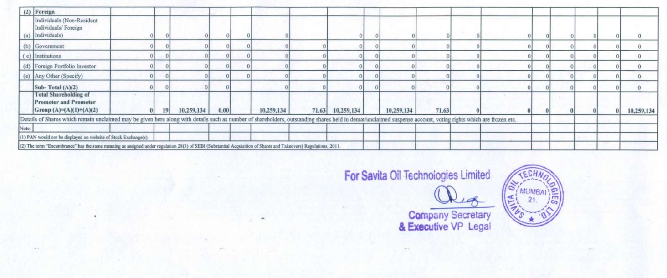|       | (2) Foreign                                                                                                                                                                                                    |    |            |      |            |                  |            |       |  |  |  |            |
|-------|----------------------------------------------------------------------------------------------------------------------------------------------------------------------------------------------------------------|----|------------|------|------------|------------------|------------|-------|--|--|--|------------|
|       | Individuals (Non-Resident<br>Individuals/Foreign<br>(a) Individuals)                                                                                                                                           |    |            |      |            |                  |            |       |  |  |  |            |
|       | (b) Government                                                                                                                                                                                                 |    |            |      |            |                  |            |       |  |  |  |            |
|       | (c) Institutions                                                                                                                                                                                               |    |            |      |            |                  |            |       |  |  |  |            |
|       | (d) Foreign Portfolio Investor                                                                                                                                                                                 |    |            |      |            |                  |            |       |  |  |  |            |
|       | (e) Any Other (Specify)                                                                                                                                                                                        |    |            |      |            |                  |            |       |  |  |  |            |
|       | Sub-Total $(A)(2)$                                                                                                                                                                                             |    |            |      |            |                  |            |       |  |  |  |            |
|       | <b>Total Shareholding of</b><br><b>Promoter and Promoter</b><br>Group (A)=(A)(1)+(A)(2)                                                                                                                        | 19 | 10,259,134 | 0.00 | 10,259,134 | 71.63 10,259,134 | 10,259,134 | 71.63 |  |  |  | 10,259,134 |
|       | Details of Shares which remain unclaimed may be given here along with details such as number of shareholders, outstanding shares held in demat/unclaimed suspense account, voting rights which are frozen etc. |    |            |      |            |                  |            |       |  |  |  |            |
| Note: |                                                                                                                                                                                                                |    |            |      |            |                  |            |       |  |  |  |            |
|       | (1) PAN would not be displayed on website of Stock Exchange(s).                                                                                                                                                |    |            |      |            |                  |            |       |  |  |  |            |
|       | (2) The term "Encumbrance" has the same meaning as assigned under regulation 28(3) of SEBI (Substantial Acquisition of Shares and Takeovers) Regulations, 2011.                                                |    |            |      |            |                  |            |       |  |  |  |            |

**For avitaOilTechnoiogies Limited**



~ **Company Secretary & Executive VP Legal**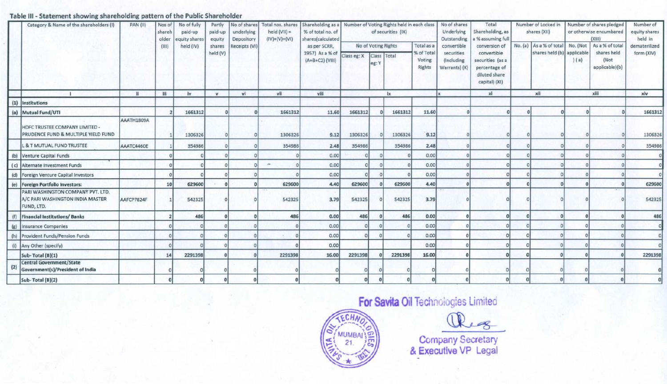## Table 111-Statement showing shareholding pattern of the Public Shareholder

| Category & Name of the shareholders (I) |                                       | <b>PAN (II)</b> | Nos of | No of fully  | Partly       |               | No of shares Total nos. shares | Shareholding as a   Number of Voting Rights held in each class |         |             |                     |                          | No of shares             | Total                        | Number of Locked in |                                                       |          | Number of shares pledged       | Number of     |
|-----------------------------------------|---------------------------------------|-----------------|--------|--------------|--------------|---------------|--------------------------------|----------------------------------------------------------------|---------|-------------|---------------------|--------------------------|--------------------------|------------------------------|---------------------|-------------------------------------------------------|----------|--------------------------------|---------------|
|                                         |                                       |                 | shareh | paid-up      | paid-up      | underlying    | held $(VII)$ =                 | % of total no. of                                              |         |             | of securities (IX)  |                          | Underlying               | Shareholding, as             |                     | shares (XII)                                          |          | or otherwise encumbared        | equity shares |
|                                         |                                       |                 | older  | quity shares | equity       | Depository    | $(IV)+(V)+(VI)$                | shares(calculated                                              |         |             |                     |                          | Outstanding              | % assuming full              |                     |                                                       |          | (XIII)                         | held in       |
|                                         |                                       |                 | (III)  | held (IV)    | shares       | Receipts (VI) |                                | as per SCRR,                                                   |         |             | No of Voting Rights | Total as a<br>% of Total | convertible              | conversion of<br>convertible |                     | No. (a) As a % of total<br>shares held (b) applicable | No. (Not | As a % of total<br>shares held | dematerilized |
|                                         |                                       |                 |        |              | held (V)     |               |                                | 1957) As a % of Class eg: X<br>$(A+B+C2)$ (VIII)               |         | Class Total |                     | Voting                   | securities<br>(Including | securities (as a             |                     |                                                       | (a)      | (Not                           | form (XIV)    |
|                                         |                                       |                 |        |              |              |               |                                |                                                                |         | eg:         |                     | Rights                   | Warrants) (X)            | percentage of                |                     |                                                       |          | applicable)(b)                 |               |
|                                         |                                       |                 |        |              |              |               |                                |                                                                |         |             |                     |                          |                          | diluted share                |                     |                                                       |          |                                |               |
|                                         |                                       |                 |        |              |              |               |                                |                                                                |         |             |                     |                          |                          | capital) (XI)                |                     |                                                       |          |                                |               |
|                                         |                                       |                 | Ш      | iv           | $\mathbf{v}$ | vi            | vii                            | viii                                                           |         |             | łх                  |                          |                          | xi                           |                     | xii                                                   |          | xiii                           | xiv           |
|                                         | (1) Institutions                      |                 |        |              |              |               |                                |                                                                |         |             |                     |                          |                          |                              |                     |                                                       |          |                                |               |
|                                         | (a) Mutual Fund/UTI                   |                 |        | 1661312      |              |               | 1661312                        | 11.60                                                          | 1661312 |             | 1661312             | 11.60                    |                          |                              |                     |                                                       |          |                                | 1661312       |
|                                         |                                       | AAATH1809A      |        |              |              |               |                                |                                                                |         |             |                     |                          |                          |                              |                     |                                                       |          |                                |               |
|                                         | HDFC TRUSTEE COMPANY LIMITED -        |                 |        |              |              |               |                                |                                                                |         |             |                     |                          |                          |                              |                     |                                                       |          |                                |               |
|                                         | PRUDENCE FUND & MULTIPLE YIELD FUND   |                 |        | 1306326      |              |               | 1306326                        | 9.12                                                           | 1306326 |             | 1306326             | 9.12                     |                          |                              |                     |                                                       |          |                                | 1306326       |
|                                         | L & T MUTUAL FUND TRUSTEE             | AAATC4460E      |        | 354986       |              |               | 354986                         | 2.48                                                           | 354986  |             | 354986              | 2.48                     |                          |                              |                     |                                                       |          |                                | 354986        |
|                                         | (b) Venture Capital Funds             |                 |        |              |              |               |                                | 0.00                                                           |         |             |                     | 0.00                     |                          |                              |                     |                                                       |          |                                |               |
|                                         | (c) Alternate Investment Funds        |                 |        |              |              |               |                                | 0.00                                                           |         |             |                     | 0.00                     |                          |                              |                     |                                                       |          |                                |               |
|                                         | (d) Foreign Venture Capital Investors |                 |        |              |              |               |                                | 0.00                                                           |         |             |                     | 0.00                     |                          |                              |                     |                                                       |          |                                |               |
|                                         | (e) Foreign Portfolio Investors:      |                 | 10     | 629600       |              |               | 629600                         | 4.40                                                           | 629600  |             | 629600              | 4.40                     |                          |                              |                     |                                                       |          |                                | 629600        |
|                                         | PARI WASHINGTON COMPANY PVT. LTD.     |                 |        |              |              |               |                                |                                                                |         |             |                     |                          |                          |                              |                     |                                                       |          |                                |               |
|                                         | A/C PARI WASHINGTON INDIA MASTER      | AAFCP7824F      |        | 542325       |              |               | 542325                         | 3.79                                                           | 542325  |             | 542325              | 3.79                     |                          |                              |                     |                                                       |          |                                | 542325        |
|                                         | FUND, LTD.                            |                 |        |              |              |               |                                |                                                                |         |             |                     |                          |                          |                              |                     |                                                       |          |                                |               |
| (f)                                     | <b>Financial Institutions/Banks</b>   |                 |        | 486          |              |               | 486                            | 0.00                                                           | 486     |             | 486                 | 0.00                     |                          |                              |                     |                                                       |          |                                | 486           |
|                                         | (g) Insurance Companies               |                 |        |              |              |               |                                | 0.00                                                           |         |             |                     | 0.00                     |                          |                              |                     |                                                       |          |                                |               |
| (h)                                     | Provident Funds/Pension Funds         |                 |        |              |              |               |                                | 0.00                                                           |         |             |                     | 0.00                     |                          |                              |                     |                                                       |          |                                |               |
| (i)                                     | Any Other (specify)                   |                 |        |              |              |               |                                | 0.00                                                           |         |             |                     | 0.00                     |                          |                              |                     |                                                       |          |                                |               |
|                                         | Sub-Total (B)(1)                      |                 | 14     | 2291398      |              |               | 2291398                        | 16.00                                                          | 2291398 |             | 2291398             | 16.00                    |                          |                              |                     |                                                       |          |                                | 2291398       |
| (2)                                     | <b>Central Government/State</b>       |                 |        |              |              |               |                                |                                                                |         |             |                     |                          |                          |                              |                     |                                                       |          |                                |               |
|                                         | Government(s)/President of India      |                 |        |              |              |               |                                |                                                                |         |             |                     |                          |                          |                              |                     |                                                       |          |                                |               |
|                                         | Sub-Total (B)(2)                      |                 |        |              |              |               |                                |                                                                |         |             |                     |                          |                          |                              |                     |                                                       |          |                                |               |



## **For Savita Oil Technologies Limited**

Peg.

**Company** Secretary **& Executive VP** Legal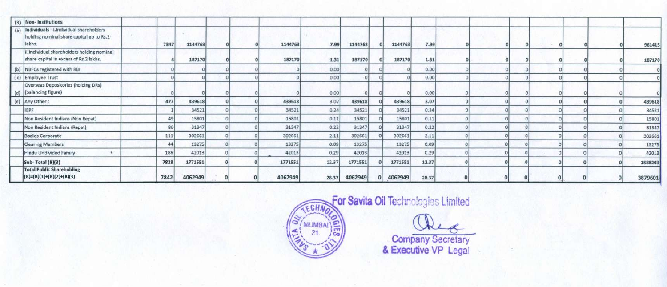|     | (3) Non-Institutions                                                                         |      |         |  |         |       |         |          |         |       |  |  |  |         |
|-----|----------------------------------------------------------------------------------------------|------|---------|--|---------|-------|---------|----------|---------|-------|--|--|--|---------|
| (a) | Individuals - Lindividual shareholders<br>holding nominal share capital up to Rs.2<br>lakhs. | 7347 | 1144763 |  | 1144763 | 7.99  | 1144763 |          | 1144763 | 7.99  |  |  |  | 961415  |
|     | ii.Individual shareholders holding nominal<br>share capital in excess of Rs.2 lakhs.         |      | 187170  |  | 187170  | 1.31  | 187170  |          | 187170  | 1.31  |  |  |  | 187170  |
|     | (b) NBFCs registered with RBI                                                                |      |         |  |         | 0.00  |         |          |         | 0.00  |  |  |  |         |
|     | (c) Employee Trust                                                                           |      |         |  |         | 0.00  |         |          |         | 0.00  |  |  |  |         |
|     | Overseas Depositories (holding DRs)<br>(d) (balancing figure)                                |      |         |  |         | 0.00  |         |          |         | 0.00  |  |  |  |         |
|     | (e) Any Other:                                                                               | 477  | 439618  |  | 439618  | 3.07  | 439618  |          | 439618  | 3.07  |  |  |  | 439618  |
|     | <b>IEPF</b>                                                                                  |      | 34521   |  | 34521   | 0.24  | 34521   |          | 34521   | 0.24  |  |  |  | 34521   |
|     | Non Resident Indians (Non Repat)                                                             | 49   | 15801   |  | 15801   | 0.11  | 15801   |          | 15801   | 0.11  |  |  |  | 15801   |
|     | Non Resident Indians (Repat)                                                                 | 86   | 31347   |  | 31347   | 0.22  | 31347   |          | 31347   | 0.22  |  |  |  | 31347   |
|     | <b>Bodies Corporate</b>                                                                      | 111  | 302661  |  | 302661  | 2.11  | 302661  |          | 302661  | 2.11  |  |  |  | 302661  |
|     | <b>Clearing Members</b>                                                                      | 44   | 13275   |  | 13275   | 0.09  | 13275   |          | 13275   | 0.09  |  |  |  | 13275   |
|     | Hindu Undivided Family                                                                       | 186  | 42013   |  | 42013   | 0.29  | 42013   |          | 42013   | 0.29  |  |  |  | 42013   |
|     | Sub-Total (B)(3)                                                                             | 7828 | 1771551 |  | 1771551 | 12.37 | 1771551 |          | 1771551 | 12.37 |  |  |  | 1588203 |
|     | <b>Total Public Shareholding</b><br>$(B)=(B)(1)+(B)(2)+(B)(3)$                               | 7842 | 4062949 |  | 4062949 | 28.37 | 4062949 | $\Omega$ | 4062949 | 28.37 |  |  |  | 3879601 |



For Savita Oil Technologies Limited

~- **Company Secretary & Executive VP Legal**